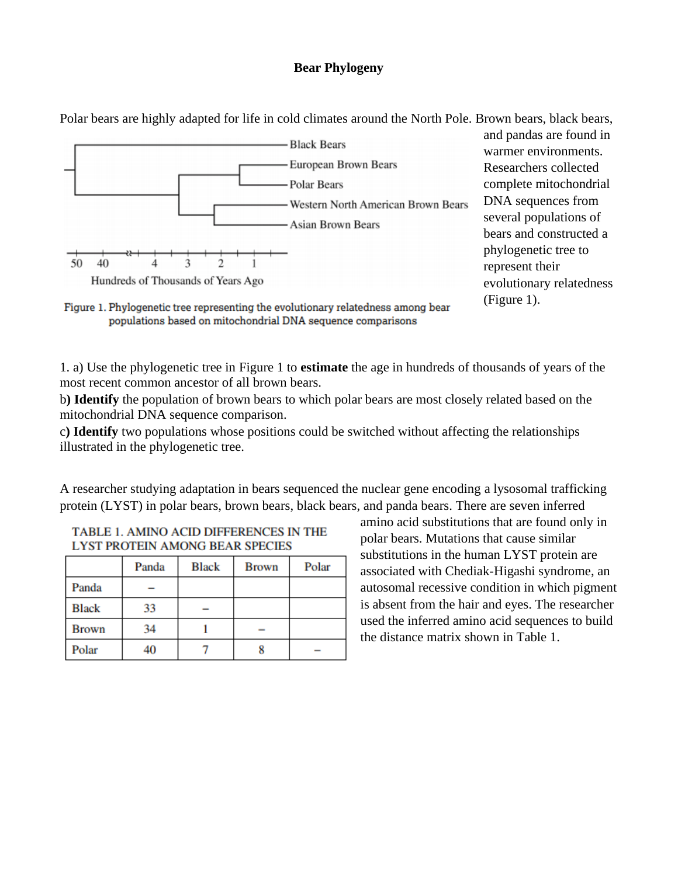## **Bear Phylogeny**

Polar bears are highly adapted for life in cold climates around the North Pole. Brown bears, black bears,



and pandas are found in warmer environments. Researchers collected complete mitochondrial DNA sequences from several populations of bears and constructed a phylogenetic tree to represent their

Figure 1. Phylogenetic tree representing the evolutionary relatedness among bear populations based on mitochondrial DNA sequence comparisons

1. a) Use the phylogenetic tree in Figure 1 to **estimate** the age in hundreds of thousands of years of the most recent common ancestor of all brown bears.

b**) Identify** the population of brown bears to which polar bears are most closely related based on the mitochondrial DNA sequence comparison.

c**) Identify** two populations whose positions could be switched without affecting the relationships illustrated in the phylogenetic tree.

A researcher studying adaptation in bears sequenced the nuclear gene encoding a lysosomal trafficking protein (LYST) in polar bears, brown bears, black bears, and panda bears. There are seven inferred

| LI SI FRUIEIN AMUNU BEAR SFECIES |       |              |              |       |  |
|----------------------------------|-------|--------------|--------------|-------|--|
|                                  | Panda | <b>Black</b> | <b>Brown</b> | Polar |  |
| Panda                            |       |              |              |       |  |
| <b>Black</b>                     | 33    |              |              |       |  |
| <b>Brown</b>                     | 34    |              |              |       |  |
| Polar                            |       |              |              |       |  |

| TABLE 1. AMINO ACID DIFFERENCES IN THE |  |
|----------------------------------------|--|
| LYST PROTEIN AMONG BEAR SPECIES        |  |

amino acid substitutions that are found only in polar bears. Mutations that cause similar substitutions in the human LYST protein are associated with Chediak-Higashi syndrome, an autosomal recessive condition in which pigment is absent from the hair and eyes. The researcher used the inferred amino acid sequences to build the distance matrix shown in Table 1.